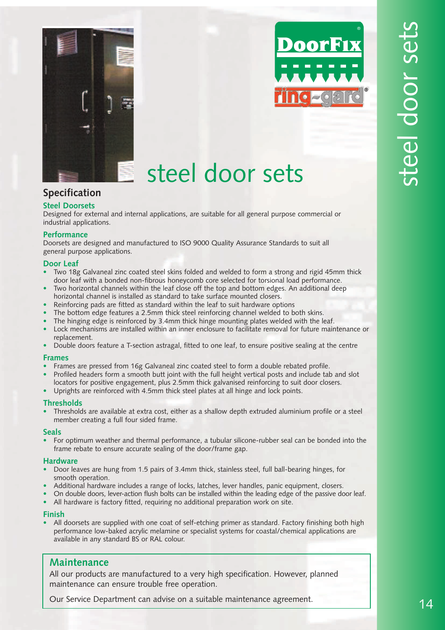



## steel door sets

### **Specification**

#### **Steel Doorsets**

Designed for external and internal applications, are suitable for all general purpose commercial or industrial applications.

#### **Performance**

Doorsets are designed and manufactured to ISO 9000 Quality Assurance Standards to suit all general purpose applications.

#### **Door Leaf**

- Two 18g Galvaneal zinc coated steel skins folded and welded to form a strong and rigid 45mm thick door leaf with a bonded non-fibrous honeycomb core selected for torsional load performance.
- Two horizontal channels within the leaf close off the top and bottom edges. An additional deep horizontal channel is installed as standard to take surface mounted closers.
- Reinforcing pads are fitted as standard within the leaf to suit hardware options
- The bottom edge features a 2.5mm thick steel reinforcing channel welded to both skins.
- The hinging edge is reinforced by 3.4mm thick hinge mounting plates welded with the leaf.
- Lock mechanisms are installed within an inner enclosure to facilitate removal for future maintenance or replacement.
- Double doors feature a T-section astragal, fitted to one leaf, to ensure positive sealing at the centre

#### **Frames**

- Frames are pressed from 16g Galvaneal zinc coated steel to form a double rebated profile.
- Profiled headers form a smooth butt joint with the full height vertical posts and include tab and slot
- locators for positive engagement, plus 2.5mm thick galvanised reinforcing to suit door closers.
- Uprights are reinforced with 4.5mm thick steel plates at all hinge and lock points.

#### **Thresholds**

• Thresholds are available at extra cost, either as a shallow depth extruded aluminium profile or a steel member creating a full four sided frame.

#### **Seals**

• For optimum weather and thermal performance, a tubular silicone-rubber seal can be bonded into the frame rebate to ensure accurate sealing of the door/frame gap.

#### **Hardware**

- Door leaves are hung from 1.5 pairs of 3.4mm thick, stainless steel, full ball-bearing hinges, for smooth operation.
- Additional hardware includes a range of locks, latches, lever handles, panic equipment, closers.
- On double doors, lever-action flush bolts can be installed within the leading edge of the passive door leaf.
- All hardware is factory fitted, requiring no additional preparation work on site.

#### **Finish**

• All doorsets are supplied with one coat of self-etching primer as standard. Factory finishing both high performance low-baked acrylic melamine or specialist systems for coastal/chemical applications are available in any standard BS or RAL colour.

#### **Maintenance**

All our products are manufactured to a very high specification. However, planned maintenance can ensure trouble free operation.

Our Service Department can advise on a suitable maintenance agreement.